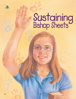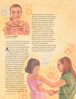

BY SHEILA KINDRED (Based on a true story)

*A man must be called of God, by prophecy, and by the laying on of hands by those who are in authority* (Articles of Faith 1:5).

**A** ll those who can sustain Brother Rulon T. Sheets as our new bishop, please show it by raising your right hand." My hand shot into the air. I was excited to have Brother Sheets as our new bishop. His daughter, Peggy, was a friend of mine. Even though she was a few years older, she often invited me to activities at her house. Brother Sheets would pop in and out of these activities, showing us a certain dance step with Peggy or taking his turn at a guessing game. Sometimes he would make popcorn and sit down and talk with us for a while.

I was happy to sustain Brother Sheets as our new bishop. But as I held my hand up in church and looked around at the chapel full of upraised hands, I wondered what kind of support my small, 11-year-old hands could offer to such a great man.

One of the first things I did was use my hands to make cookies for our new

ILLUSTRATIONS BY DILLEEN MARSH

bishop. My mother told me that bishops spend a lot of time at the church and sometimes miss meals at home, so we whipped up a batch of our best oatmeal cookies. I stirred the batter until it was just right. Then, when the cookies were ready, I carried them carefully to his house. He was thrilled, but I wanted to help more.

A few weeks later, I was at an activity at Peggy's house. She put me in charge of the music. I used my hands to turn the dial on the radio, listening for a station with appropriate music. Then I turned down the sound so it wasn't too loud. This was the bishop's house, and I wanted to help make it a peaceful place.

When school started, the bishop's family invited a foster girl named Carla to live with them. The first time I met her I extended my hand and welcomed her. I knew it